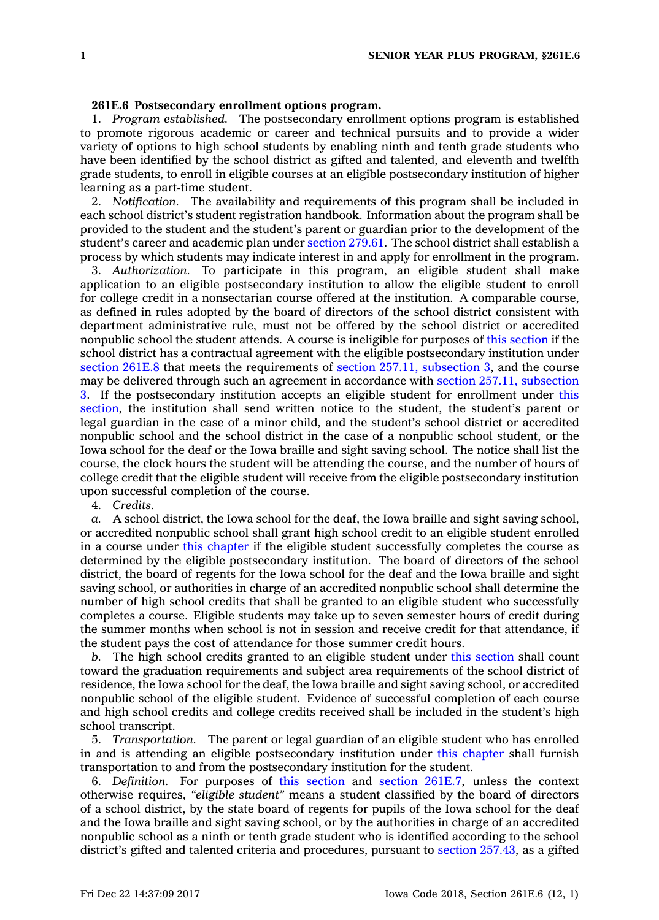## **261E.6 Postsecondary enrollment options program.**

1. *Program established.* The postsecondary enrollment options program is established to promote rigorous academic or career and technical pursuits and to provide <sup>a</sup> wider variety of options to high school students by enabling ninth and tenth grade students who have been identified by the school district as gifted and talented, and eleventh and twelfth grade students, to enroll in eligible courses at an eligible postsecondary institution of higher learning as <sup>a</sup> part-time student.

2. *Notification.* The availability and requirements of this program shall be included in each school district's student registration handbook. Information about the program shall be provided to the student and the student's parent or guardian prior to the development of the student's career and academic plan under [section](https://www.legis.iowa.gov/docs/code/279.61.pdf) 279.61. The school district shall establish <sup>a</sup> process by which students may indicate interest in and apply for enrollment in the program.

3. *Authorization.* To participate in this program, an eligible student shall make application to an eligible postsecondary institution to allow the eligible student to enroll for college credit in <sup>a</sup> nonsectarian course offered at the institution. A comparable course, as defined in rules adopted by the board of directors of the school district consistent with department administrative rule, must not be offered by the school district or accredited nonpublic school the student attends. A course is ineligible for purposes of this [section](https://www.legis.iowa.gov/docs/code/261E.6.pdf) if the school district has <sup>a</sup> contractual agreement with the eligible postsecondary institution under [section](https://www.legis.iowa.gov/docs/code/261E.8.pdf) 261E.8 that meets the requirements of section 257.11, [subsection](https://www.legis.iowa.gov/docs/code/257.11.pdf) 3, and the course may be delivered through such an agreement in accordance with section 257.11, [subsection](https://www.legis.iowa.gov/docs/code/257.11.pdf) [3](https://www.legis.iowa.gov/docs/code/257.11.pdf). If the postsecondary institution accepts an eligible student for enrollment under [this](https://www.legis.iowa.gov/docs/code/261E.6.pdf) [section](https://www.legis.iowa.gov/docs/code/261E.6.pdf), the institution shall send written notice to the student, the student's parent or legal guardian in the case of <sup>a</sup> minor child, and the student's school district or accredited nonpublic school and the school district in the case of <sup>a</sup> nonpublic school student, or the Iowa school for the deaf or the Iowa braille and sight saving school. The notice shall list the course, the clock hours the student will be attending the course, and the number of hours of college credit that the eligible student will receive from the eligible postsecondary institution upon successful completion of the course.

4. *Credits.*

*a.* A school district, the Iowa school for the deaf, the Iowa braille and sight saving school, or accredited nonpublic school shall grant high school credit to an eligible student enrolled in <sup>a</sup> course under this [chapter](https://www.legis.iowa.gov/docs/code//261E.pdf) if the eligible student successfully completes the course as determined by the eligible postsecondary institution. The board of directors of the school district, the board of regents for the Iowa school for the deaf and the Iowa braille and sight saving school, or authorities in charge of an accredited nonpublic school shall determine the number of high school credits that shall be granted to an eligible student who successfully completes <sup>a</sup> course. Eligible students may take up to seven semester hours of credit during the summer months when school is not in session and receive credit for that attendance, if the student pays the cost of attendance for those summer credit hours.

*b.* The high school credits granted to an eligible student under this [section](https://www.legis.iowa.gov/docs/code/261E.6.pdf) shall count toward the graduation requirements and subject area requirements of the school district of residence, the Iowa school for the deaf, the Iowa braille and sight saving school, or accredited nonpublic school of the eligible student. Evidence of successful completion of each course and high school credits and college credits received shall be included in the student's high school transcript.

5. *Transportation.* The parent or legal guardian of an eligible student who has enrolled in and is attending an eligible postsecondary institution under this [chapter](https://www.legis.iowa.gov/docs/code//261E.pdf) shall furnish transportation to and from the postsecondary institution for the student.

6. *Definition.* For purposes of this [section](https://www.legis.iowa.gov/docs/code/261E.6.pdf) and section [261E.7](https://www.legis.iowa.gov/docs/code/261E.7.pdf), unless the context otherwise requires, *"eligible student"* means <sup>a</sup> student classified by the board of directors of <sup>a</sup> school district, by the state board of regents for pupils of the Iowa school for the deaf and the Iowa braille and sight saving school, or by the authorities in charge of an accredited nonpublic school as <sup>a</sup> ninth or tenth grade student who is identified according to the school district's gifted and talented criteria and procedures, pursuant to section [257.43](https://www.legis.iowa.gov/docs/code/257.43.pdf), as <sup>a</sup> gifted